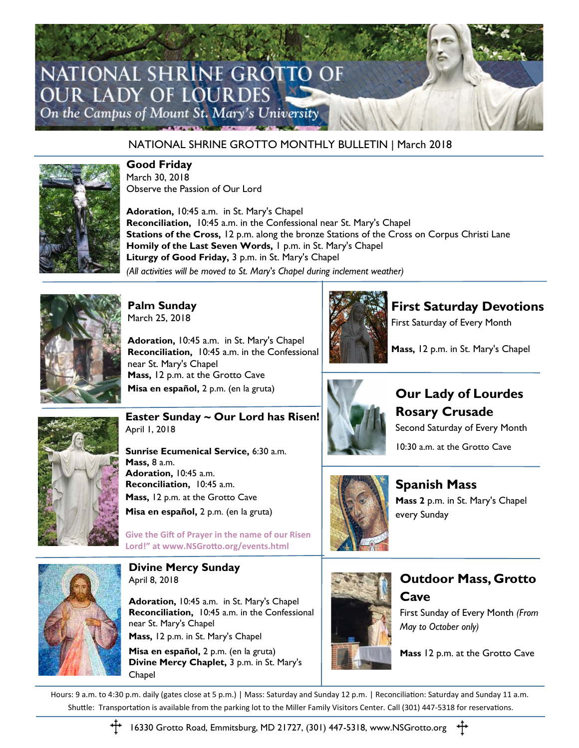

### NATIONAL SHRINE GROTTO MONTHLY BULLETIN | March 2018



#### **Good Friday**

March 30, 2018 Observe the Passion of Our Lord

**Adoration,** 10:45 a.m. in St. Mary's Chapel **Reconciliation,** 10:45 a.m. in the Confessional near St. Mary's Chapel **Stations of the Cross,** 12 p.m. along the bronze Stations of the Cross on Corpus Christi Lane **Homily of the Last Seven Words,** 1 p.m. in St. Mary's Chapel **Liturgy of Good Friday,** 3 p.m. in St. Mary's Chapel *(All activities will be moved to St. Mary's Chapel during inclement weather)*



**Palm Sunday** March 25, 2018

**Adoration,** 10:45 a.m. in St. Mary's Chapel **Reconciliation,** 10:45 a.m. in the Confessional near St. Mary's Chapel **Mass,** 12 p.m. at the Grotto Cave **Misa en español,** 2 p.m. (en la gruta)



**First Saturday Devotions**

First Saturday of Every Month

**Mass,** 12 p.m. in St. Mary's Chapel



**Easter Sunday ~ Our Lord has Risen!**

**Sunrise Ecumenical Service,** 6:30 a.m. **Adoration,** 10:45 a.m. **Reconciliation,** 10:45 a.m. **Mass,** 12 p.m. at the Grotto Cave **Misa en español,** 2 p.m. (en la gruta)

**Give the Gift of Prayer in the name of our Risen** 

**Lord!" at [www.NSGrotto.org/events.html](http://www.NSGrotto.org/events.html)**



**Our Lady of Lourdes Rosary Crusade** Second Saturday of Every Month

10:30 a.m. at the Grotto Cave



**Spanish Mass Mass 2** p.m. in St. Mary's Chapel every Sunday



# **Outdoor Mass, Grotto Cave**

First Sunday of Every Month *(From May to October only)*

**Mass** 12 p.m. at the Grotto Cave

**Divine Mercy Sunday** April 8, 2018

**Adoration,** 10:45 a.m. in St. Mary's Chapel **Reconciliation,** 10:45 a.m. in the Confessional near St. Mary's Chapel **Mass,** 12 p.m. in St. Mary's Chapel

**Misa en español,** 2 p.m. (en la gruta) **Divine Mercy Chaplet,** 3 p.m. in St. Mary's Chapel

Hours: 9 a.m. to 4:30 p.m. daily (gates close at 5 p.m.) | Mass: Saturday and Sunday 12 p.m. | Reconciliation: Saturday and Sunday 11 a.m. Shuttle: Transportation is available from the parking lot to the Miller Family Visitors Center. Call (301) 447-5318 for reservations.



16330 Grotto Road, Emmitsburg, MD 21727, (301) 447-5318, www.NSGrotto.org